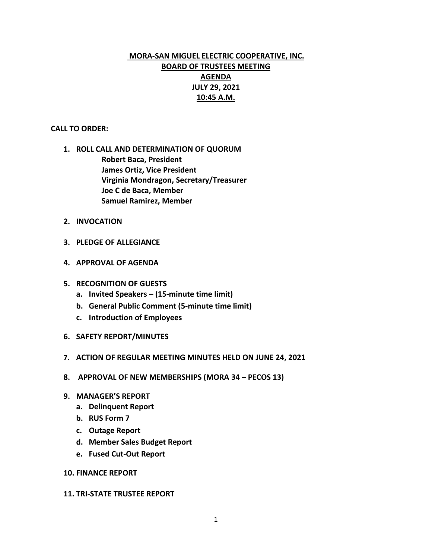# **MORA-SAN MIGUEL ELECTRIC COOPERATIVE, INC. BOARD OF TRUSTEES MEETING AGENDA JULY 29, 2021 10:45 A.M.**

## **CALL TO ORDER:**

- **1. ROLL CALL AND DETERMINATION OF QUORUM Robert Baca, President James Ortiz, Vice President Virginia Mondragon, Secretary/Treasurer Joe C de Baca, Member Samuel Ramirez, Member**
- **2. INVOCATION**
- **3. PLEDGE OF ALLEGIANCE**
- **4. APPROVAL OF AGENDA**
- **5. RECOGNITION OF GUESTS**
	- **a. Invited Speakers – (15-minute time limit)**
	- **b. General Public Comment (5-minute time limit)**
	- **c. Introduction of Employees**
- **6. SAFETY REPORT/MINUTES**
- **7. ACTION OF REGULAR MEETING MINUTES HELD ON JUNE 24, 2021**
- **8. APPROVAL OF NEW MEMBERSHIPS (MORA 34 – PECOS 13)**
- **9. MANAGER'S REPORT**
	- **a. Delinquent Report**
	- **b. RUS Form 7**
	- **c. Outage Report**
	- **d. Member Sales Budget Report**
	- **e. Fused Cut-Out Report**

#### **10. FINANCE REPORT**

#### **11. TRI-STATE TRUSTEE REPORT**